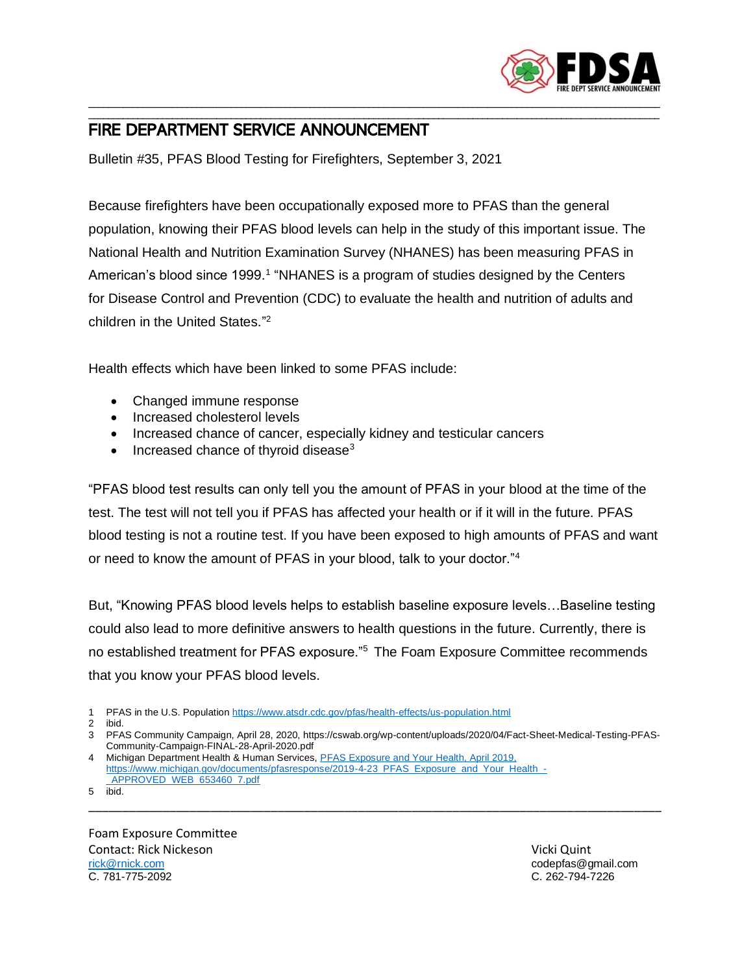

## \_\_\_\_\_\_\_\_\_\_\_\_\_\_\_\_\_\_\_\_\_\_\_\_\_\_\_\_\_\_\_\_\_\_\_\_\_\_\_\_\_\_\_\_\_\_\_\_\_\_\_\_\_\_\_\_\_\_\_\_\_\_\_\_\_\_\_\_\_\_\_\_\_\_\_\_\_\_\_\_\_\_\_\_\_\_\_\_\_\_\_\_\_\_\_\_\_\_\_\_\_\_\_\_\_\_\_\_\_\_\_\_\_\_\_\_ FIRE DEPARTMENT SERVICE ANNOUNCEMENT

Bulletin #35, PFAS Blood Testing for Firefighters, September 3, 2021

Because firefighters have been occupationally exposed more to PFAS than the general population, knowing their PFAS blood levels can help in the study of this important issue. The National Health and Nutrition Examination Survey (NHANES) has been measuring PFAS in American's blood since 1999.<sup>1</sup> "NHANES is a program of studies designed by the Centers for Disease Control and Prevention (CDC) to evaluate the health and nutrition of adults and children in the United States." 2

\_\_\_\_\_\_\_\_\_\_\_\_\_\_\_\_\_\_\_\_\_\_\_\_\_\_\_\_\_\_\_\_\_\_\_\_\_\_\_\_\_\_\_\_\_\_\_\_\_\_\_\_\_\_\_\_\_\_\_\_\_\_\_\_\_\_\_\_\_\_\_\_\_\_\_\_\_\_\_\_\_\_\_\_\_\_\_\_\_\_\_\_\_\_\_\_\_\_\_\_\_\_\_\_\_\_\_\_\_\_\_\_\_\_\_\_

Health effects which have been linked to some PFAS include:

- Changed immune response
- Increased cholesterol levels
- Increased chance of cancer, especially kidney and testicular cancers
- Increased chance of thyroid disease $3$

"PFAS blood test results can only tell you the amount of PFAS in your blood at the time of the test. The test will not tell you if PFAS has affected your health or if it will in the future. PFAS blood testing is not a routine test. If you have been exposed to high amounts of PFAS and want or need to know the amount of PFAS in your blood, talk to your doctor."<sup>4</sup>

But, "Knowing PFAS blood levels helps to establish baseline exposure levels…Baseline testing could also lead to more definitive answers to health questions in the future. Currently, there is no established treatment for PFAS exposure."<sup>5</sup> The Foam Exposure Committee recommends that you know your PFAS blood levels.

1 PFAS in the U.S. Population<https://www.atsdr.cdc.gov/pfas/health-effects/us-population.html>

3 PFAS Community Campaign, April 28, 2020, https://cswab.org/wp-content/uploads/2020/04/Fact-Sheet-Medical-Testing-PFAS-Community-Campaign-FINAL-28-April-2020.pdf

\_\_\_\_\_\_\_\_\_\_\_\_\_\_\_\_\_\_\_\_\_\_\_\_\_\_\_\_\_\_\_\_\_\_\_\_\_\_\_\_\_\_\_\_\_\_\_\_\_\_\_\_\_\_\_\_\_\_\_\_\_\_\_\_\_\_\_\_\_\_\_\_\_\_\_\_\_\_\_\_\_\_\_\_\_

4 Michigan Department Health & Human Services, PFAS Exposure and Your Health, April 2019, [https://www.michigan.gov/documents/pfasresponse/2019-4-23\\_PFAS\\_Exposure\\_and\\_Your\\_Health\\_-](file:///D:/FDSA/Bulletins/PFAS%20Exposure%20and%20Your%20Health,%20April%202019,%20https:/www.michigan.gov/documents/pfasresponse/2019-4-23_PFAS_Exposure_and_Your_Health_-_APPROVED_WEB_653460_7.pdf) [\\_APPROVED\\_WEB\\_653460\\_7.pdf](file:///D:/FDSA/Bulletins/PFAS%20Exposure%20and%20Your%20Health,%20April%202019,%20https:/www.michigan.gov/documents/pfasresponse/2019-4-23_PFAS_Exposure_and_Your_Health_-_APPROVED_WEB_653460_7.pdf)

5 ibid.

Foam Exposure Committee Contact: Rick Nickeson و Vicki Quint المستخدم المستخدم المستخدم المستخدم المستخدم المستخدم المستخدم المستخدم ا<br>المستخدم المستخدم المستخدم المستخدم المستخدم المستخدم المستخدم المستخدم المستخدم المستخدم المستخدم المستخدم ال C. 781-775-2092 C. 262-794-7226

codepfas@gmail.com

<sup>2</sup> ibid.